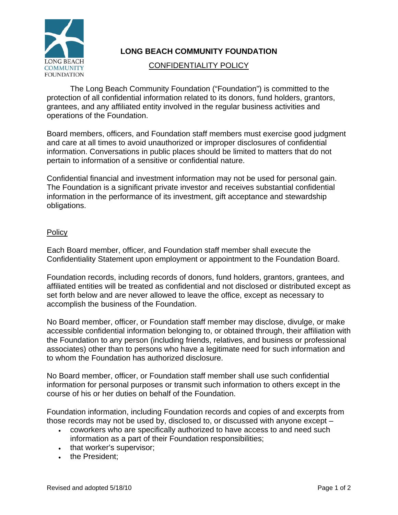

## **LONG BEACH COMMUNITY FOUNDATION**

## CONFIDENTIALITY POLICY

The Long Beach Community Foundation ("Foundation") is committed to the protection of all confidential information related to its donors, fund holders, grantors, grantees, and any affiliated entity involved in the regular business activities and operations of the Foundation.

Board members, officers, and Foundation staff members must exercise good judgment and care at all times to avoid unauthorized or improper disclosures of confidential information. Conversations in public places should be limited to matters that do not pertain to information of a sensitive or confidential nature.

Confidential financial and investment information may not be used for personal gain. The Foundation is a significant private investor and receives substantial confidential information in the performance of its investment, gift acceptance and stewardship obligations.

## **Policy**

Each Board member, officer, and Foundation staff member shall execute the Confidentiality Statement upon employment or appointment to the Foundation Board.

Foundation records, including records of donors, fund holders, grantors, grantees, and affiliated entities will be treated as confidential and not disclosed or distributed except as set forth below and are never allowed to leave the office, except as necessary to accomplish the business of the Foundation.

No Board member, officer, or Foundation staff member may disclose, divulge, or make accessible confidential information belonging to, or obtained through, their affiliation with the Foundation to any person (including friends, relatives, and business or professional associates) other than to persons who have a legitimate need for such information and to whom the Foundation has authorized disclosure.

No Board member, officer, or Foundation staff member shall use such confidential information for personal purposes or transmit such information to others except in the course of his or her duties on behalf of the Foundation.

Foundation information, including Foundation records and copies of and excerpts from those records may not be used by, disclosed to, or discussed with anyone except –

- coworkers who are specifically authorized to have access to and need such information as a part of their Foundation responsibilities;
- that worker's supervisor;
- the President;